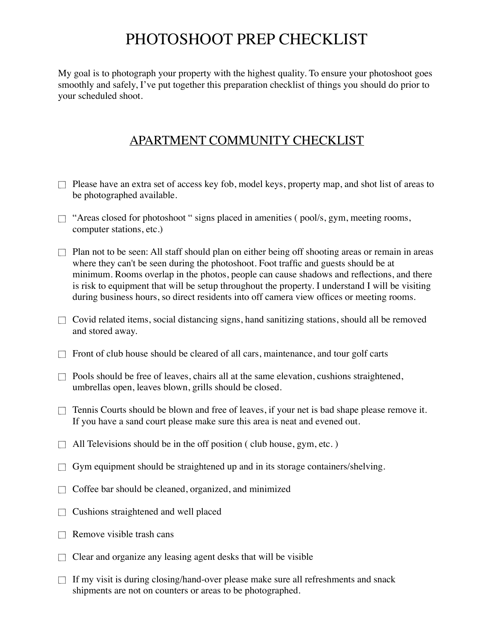## PHOTOSHOOT PREP CHECKLIST

My goal is to photograph your property with the highest quality. To ensure your photoshoot goes smoothly and safely, I've put together this preparation checklist of things you should do prior to your scheduled shoot.

## APARTMENT COMMUNITY CHECKLIST

- $\Box$  Please have an extra set of access key fob, model keys, property map, and shot list of areas to be photographed available.
- $\Box$  "Areas closed for photoshoot " signs placed in amenities ( pool/s, gym, meeting rooms, computer stations, etc.)
- $\Box$  Plan not to be seen: All staff should plan on either being off shooting areas or remain in areas where they can't be seen during the photoshoot. Foot traffic and guests should be at minimum. Rooms overlap in the photos, people can cause shadows and reflections, and there is risk to equipment that will be setup throughout the property. I understand I will be visiting during business hours, so direct residents into off camera view offices or meeting rooms.
- $\Box$  Covid related items, social distancing signs, hand sanitizing stations, should all be removed and stored away.
- $\Box$  Front of club house should be cleared of all cars, maintenance, and tour golf carts
- $\Box$  Pools should be free of leaves, chairs all at the same elevation, cushions straightened, umbrellas open, leaves blown, grills should be closed.
- $\Box$  Tennis Courts should be blown and free of leaves, if your net is bad shape please remove it. If you have a sand court please make sure this area is neat and evened out.
- All Televisions should be in the off position ( club house, gym, etc. )  $\Box$
- Gym equipment should be straightened up and in its storage containers/shelving.  $\Box$
- Coffee bar should be cleaned, organized, and minimized  $\Box$
- Cushions straightened and well placed  $\Box$
- Remove visible trash cans  $\Box$
- $\Box$  Clear and organize any leasing agent desks that will be visible
- $\Box$ If my visit is during closing/hand-over please make sure all refreshments and snack shipments are not on counters or areas to be photographed.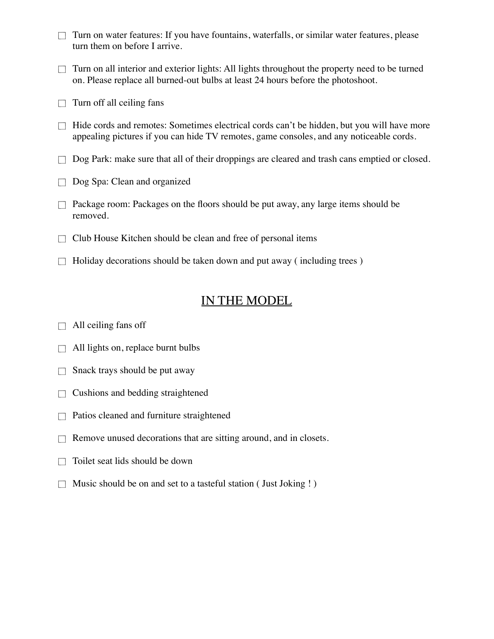- Turn on water features: If you have fountains, waterfalls, or similar water features, please  $\Box$ turn them on before I arrive.
- Turn on all interior and exterior lights: All lights throughout the property need to be turned  $\Box$ on. Please replace all burned-out bulbs at least 24 hours before the photoshoot.
- Turn off all ceiling fans  $\Box$
- Hide cords and remotes: Sometimes electrical cords can't be hidden, but you will have more  $\Box$ appealing pictures if you can hide TV remotes, game consoles, and any noticeable cords.
- $\Box$  Dog Park: make sure that all of their droppings are cleared and trash cans emptied or closed.
- Dog Spa: Clean and organized
- Package room: Packages on the floors should be put away, any large items should be  $\Box$ removed.
- Club House Kitchen should be clean and free of personal items  $\Box$
- Holiday decorations should be taken down and put away ( including trees )  $\Box$

## IN THE MODEL

- All ceiling fans off  $\Box$
- All lights on, replace burnt bulbs  $\Box$
- Snack trays should be put away  $\Box$
- Cushions and bedding straightened  $\Box$
- Patios cleaned and furniture straightened  $\Box$
- Remove unused decorations that are sitting around, and in closets.  $\Box$
- Toilet seat lids should be down  $\Box$
- Music should be on and set to a tasteful station ( Just Joking ! )  $\Box$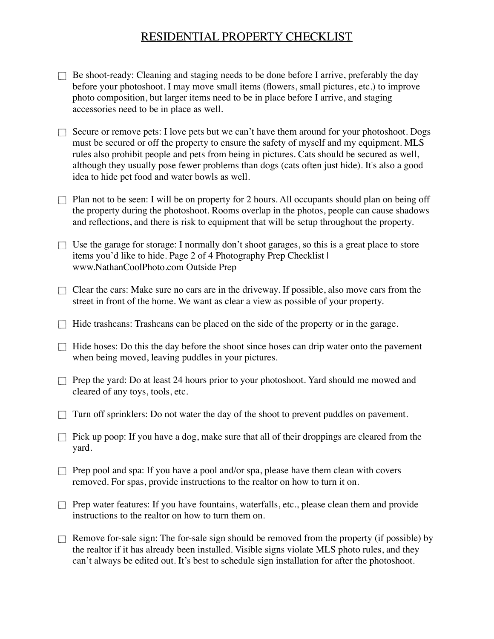## RESIDENTIAL PROPERTY CHECKLIST

- $\Box$  Be shoot-ready: Cleaning and staging needs to be done before I arrive, preferably the day before your photoshoot. I may move small items (flowers, small pictures, etc.) to improve photo composition, but larger items need to be in place before I arrive, and staging accessories need to be in place as well.
- $\Box$  Secure or remove pets: I love pets but we can't have them around for your photoshoot. Dogs must be secured or off the property to ensure the safety of myself and my equipment. MLS rules also prohibit people and pets from being in pictures. Cats should be secured as well, although they usually pose fewer problems than dogs (cats often just hide). It's also a good idea to hide pet food and water bowls as well.
- $\Box$  Plan not to be seen: I will be on property for 2 hours. All occupants should plan on being off the property during the photoshoot. Rooms overlap in the photos, people can cause shadows and reflections, and there is risk to equipment that will be setup throughout the property.
- $\Box$  Use the garage for storage: I normally don't shoot garages, so this is a great place to store items you'd like to hide. Page 2 of 4 Photography Prep Checklist I www.NathanCoolPhoto.com Outside Prep
- $\Box$  Clear the cars: Make sure no cars are in the driveway. If possible, also move cars from the street in front of the home. We want as clear a view as possible of your property.
- $\Box$  Hide trashcans: Trashcans can be placed on the side of the property or in the garage.
- $\Box$  Hide hoses: Do this the day before the shoot since hoses can drip water onto the pavement when being moved, leaving puddles in your pictures.
- $\Box$  Prep the yard: Do at least 24 hours prior to your photoshoot. Yard should me mowed and cleared of any toys, tools, etc.
- Turn off sprinklers: Do not water the day of the shoot to prevent puddles on pavement.  $\Box$
- $\Box$  Pick up poop: If you have a dog, make sure that all of their droppings are cleared from the yard.
- $\Box$  Prep pool and spa: If you have a pool and/or spa, please have them clean with covers removed. For spas, provide instructions to the realtor on how to turn it on.
- $\Box$  Prep water features: If you have fountains, waterfalls, etc., please clean them and provide instructions to the realtor on how to turn them on.
- $\Box$  Remove for-sale sign: The for-sale sign should be removed from the property (if possible) by the realtor if it has already been installed. Visible signs violate MLS photo rules, and they can't always be edited out. It's best to schedule sign installation for after the photoshoot.